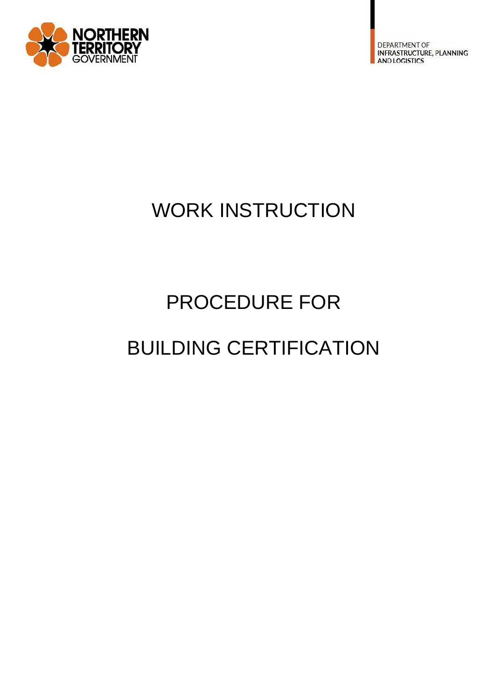

**DEPARTMENT OF INFRASTRUCTURE, PLANNING AND LOGISTICS** 

## WORK INSTRUCTION

# PROCEDURE FOR BUILDING CERTIFICATION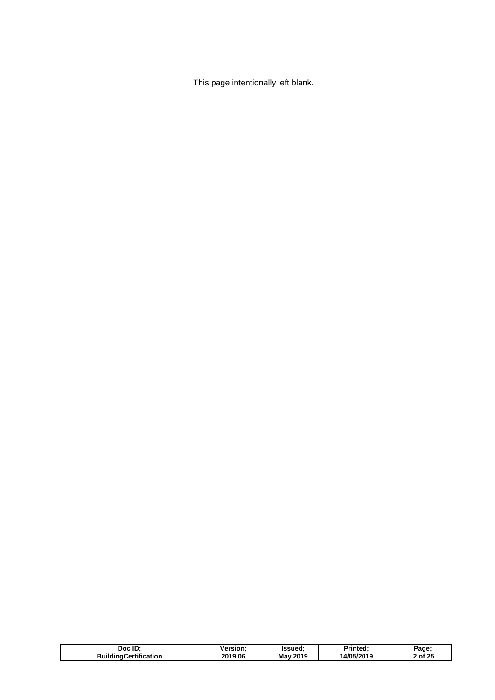This page intentionally left blank.

| $\overline{O}$ Oc ID                                | <b>Version</b> | lssued.         | Printed    | Page; |
|-----------------------------------------------------|----------------|-----------------|------------|-------|
| $-0.00$<br>.<br><b>Certification</b><br>uuldu<br>nn | 2019.0F        | <b>May 2019</b> | 14/05/2019 | of 25 |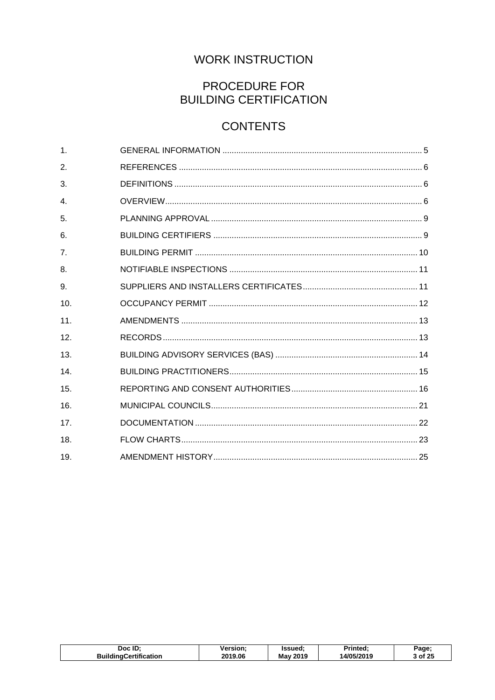## **WORK INSTRUCTION**

## PROCEDURE FOR **BUILDING CERTIFICATION**

## **CONTENTS**

| 1.              |  |
|-----------------|--|
| 2.              |  |
| 3.              |  |
| $\mathbf{4}$    |  |
| 5.              |  |
| 6.              |  |
| 7.              |  |
| 8.              |  |
| 9.              |  |
| 10 <sub>1</sub> |  |
| 11.             |  |
| 12.             |  |
| 13.             |  |
| 14.             |  |
| 15.             |  |
| 16.             |  |
| 17 <sub>1</sub> |  |
| 18.             |  |
| 19.             |  |
|                 |  |

| ID<br>ക്ക<br>----     | <b>Version:</b><br>____ | Issued      | Printed: | Page;   |
|-----------------------|-------------------------|-------------|----------|---------|
| .<br>rtification<br>~ | 2019.06                 | May<br>2019 | '2019    | 3 of 25 |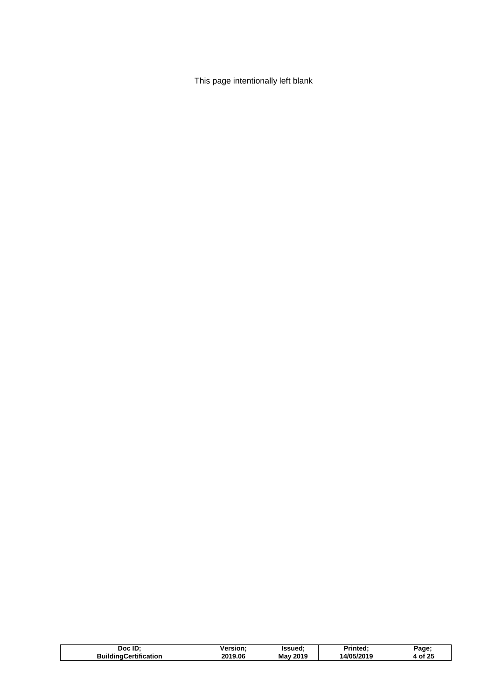This page intentionally left blank

| $\overline{D}$ oc ID          | <b>Version:</b> | lssued:     | Printed:                 | Page         |
|-------------------------------|-----------------|-------------|--------------------------|--------------|
| ertification.<br><br>Ruuldina | 2019.06         | May<br>2019 | 5/2019<br>1 <i>1</i> /05 | $+$ of $2^r$ |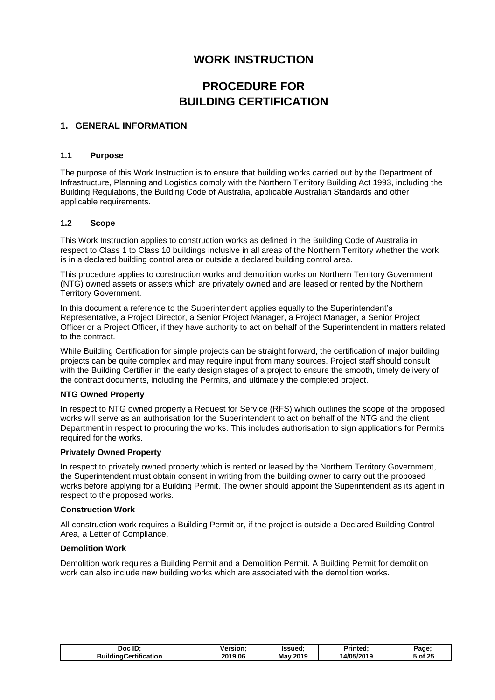### **WORK INSTRUCTION**

## **PROCEDURE FOR BUILDING CERTIFICATION**

#### <span id="page-4-0"></span>**1. GENERAL INFORMATION**

#### **1.1 Purpose**

The purpose of this Work Instruction is to ensure that building works carried out by the Department of Infrastructure, Planning and Logistics comply with the Northern Territory Building Act 1993, including the Building Regulations, the Building Code of Australia, applicable Australian Standards and other applicable requirements.

#### **1.2 Scope**

This Work Instruction applies to construction works as defined in the Building Code of Australia in respect to Class 1 to Class 10 buildings inclusive in all areas of the Northern Territory whether the work is in a declared building control area or outside a declared building control area.

This procedure applies to construction works and demolition works on Northern Territory Government (NTG) owned assets or assets which are privately owned and are leased or rented by the Northern Territory Government.

In this document a reference to the Superintendent applies equally to the Superintendent's Representative, a Project Director, a Senior Project Manager, a Project Manager, a Senior Project Officer or a Project Officer, if they have authority to act on behalf of the Superintendent in matters related to the contract.

While Building Certification for simple projects can be straight forward, the certification of major building projects can be quite complex and may require input from many sources. Project staff should consult with the Building Certifier in the early design stages of a project to ensure the smooth, timely delivery of the contract documents, including the Permits, and ultimately the completed project.

#### **NTG Owned Property**

In respect to NTG owned property a Request for Service (RFS) which outlines the scope of the proposed works will serve as an authorisation for the Superintendent to act on behalf of the NTG and the client Department in respect to procuring the works. This includes authorisation to sign applications for Permits required for the works.

#### **Privately Owned Property**

In respect to privately owned property which is rented or leased by the Northern Territory Government, the Superintendent must obtain consent in writing from the building owner to carry out the proposed works before applying for a Building Permit. The owner should appoint the Superintendent as its agent in respect to the proposed works.

#### **Construction Work**

All construction work requires a Building Permit or, if the project is outside a Declared Building Control Area, a Letter of Compliance.

#### **Demolition Work**

Demolition work requires a Building Permit and a Demolition Permit. A Building Permit for demolition work can also include new building works which are associated with the demolition works.

| Doc ID:            | /ersion: | Issued      | Printed | Page                |
|--------------------|----------|-------------|---------|---------------------|
| :ertification<br>. | 2019.06  | May<br>2019 | 15/2019 | . of 2 <sup>r</sup> |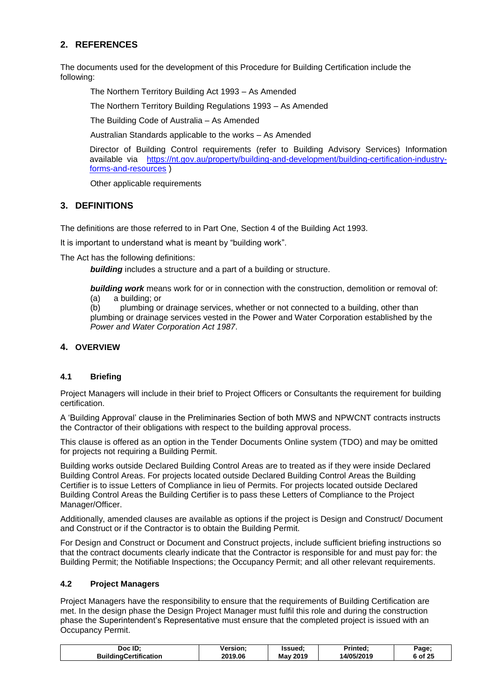#### <span id="page-5-0"></span>**2. REFERENCES**

The documents used for the development of this Procedure for Building Certification include the following:

The Northern Territory Building Act 1993 – As Amended

The Northern Territory Building Regulations 1993 – As Amended

The Building Code of Australia – As Amended

Australian Standards applicable to the works – As Amended

Director of Building Control requirements (refer to Building Advisory Services) Information available via [https://nt.gov.au/property/building-and-development/building-certification-industry](https://nt.gov.au/property/building-and-development/building-certification-industry-forms-and-resources)[forms-and-resources](https://nt.gov.au/property/building-and-development/building-certification-industry-forms-and-resources) )

Other applicable requirements

#### <span id="page-5-1"></span>**3. DEFINITIONS**

The definitions are those referred to in Part One, Section 4 of the Building Act 1993.

It is important to understand what is meant by "building work".

The Act has the following definitions:

*building* includes a structure and a part of a building or structure.

*building work* means work for or in connection with the construction, demolition or removal of: (a) a building; or

(b) plumbing or drainage services, whether or not connected to a building, other than plumbing or drainage services vested in the Power and Water Corporation established by the *Power and Water Corporation Act 1987*.

#### <span id="page-5-2"></span>**4. OVERVIEW**

#### **4.1 Briefing**

Project Managers will include in their brief to Project Officers or Consultants the requirement for building certification.

A 'Building Approval' clause in the Preliminaries Section of both MWS and NPWCNT contracts instructs the Contractor of their obligations with respect to the building approval process.

This clause is offered as an option in the Tender Documents Online system (TDO) and may be omitted for projects not requiring a Building Permit.

Building works outside Declared Building Control Areas are to treated as if they were inside Declared Building Control Areas. For projects located outside Declared Building Control Areas the Building Certifier is to issue Letters of Compliance in lieu of Permits. For projects located outside Declared Building Control Areas the Building Certifier is to pass these Letters of Compliance to the Project Manager/Officer.

Additionally, amended clauses are available as options if the project is Design and Construct/ Document and Construct or if the Contractor is to obtain the Building Permit.

For Design and Construct or Document and Construct projects, include sufficient briefing instructions so that the contract documents clearly indicate that the Contractor is responsible for and must pay for: the Building Permit; the Notifiable Inspections; the Occupancy Permit; and all other relevant requirements.

#### **4.2 Project Managers**

Project Managers have the responsibility to ensure that the requirements of Building Certification are met. In the design phase the Design Project Manager must fulfil this role and during the construction phase the Superintendent's Representative must ensure that the completed project is issued with an Occupancy Permit.

| Doc ID:                      | <b>Version:</b><br>____ | Issued      | Printed:<br>.                              | Page; |
|------------------------------|-------------------------|-------------|--------------------------------------------|-------|
| .<br>.<br>↑↑™ification<br>шĿ | 2019.06                 | May<br>2019 | InA <sub>A</sub><br>5/2019<br>$\mathbf{a}$ | of 25 |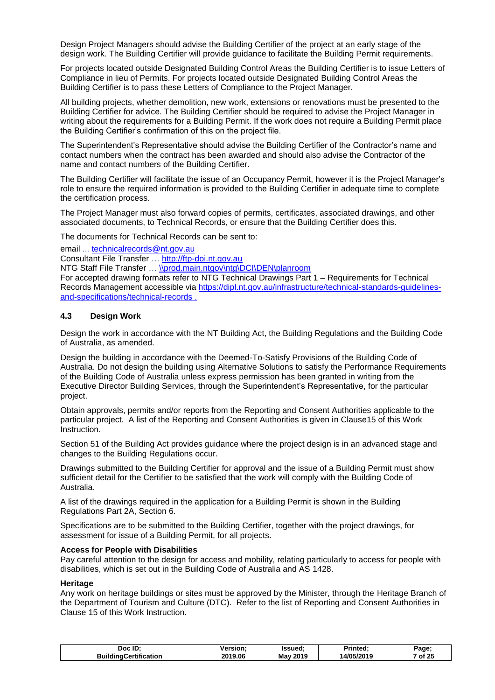Design Project Managers should advise the Building Certifier of the project at an early stage of the design work. The Building Certifier will provide guidance to facilitate the Building Permit requirements.

For projects located outside Designated Building Control Areas the Building Certifier is to issue Letters of Compliance in lieu of Permits. For projects located outside Designated Building Control Areas the Building Certifier is to pass these Letters of Compliance to the Project Manager.

All building projects, whether demolition, new work, extensions or renovations must be presented to the Building Certifier for advice. The Building Certifier should be required to advise the Project Manager in writing about the requirements for a Building Permit. If the work does not require a Building Permit place the Building Certifier's confirmation of this on the project file.

The Superintendent's Representative should advise the Building Certifier of the Contractor's name and contact numbers when the contract has been awarded and should also advise the Contractor of the name and contact numbers of the Building Certifier.

The Building Certifier will facilitate the issue of an Occupancy Permit, however it is the Project Manager's role to ensure the required information is provided to the Building Certifier in adequate time to complete the certification process.

The Project Manager must also forward copies of permits, certificates, associated drawings, and other associated documents, to Technical Records, or ensure that the Building Certifier does this.

The documents for Technical Records can be sent to:

email ... [technicalrecords@nt.gov.au](mailto:technicalrecords@nt.gov.au)

Consultant File Transfer … [http://ftp-doi.nt.gov.au](http://ftp-doi.nt.gov.au/)

NTG Staff File Transfer … [\\prod.main.ntgov\ntg\DCI\DEN\planroom](file://///prod.main.ntgov/ntg/DCI/DEN/planroom)

For accepted drawing formats refer to NTG Technical Drawings Part 1 – Requirements for Technical Records Management accessible via [https://dipl.nt.gov.au/infrastructure/technical-standards-guidelines](https://dipl.nt.gov.au/infrastructure/technical-standards-guidelines-and-specifications/technical-records)[and-specifications/technical-records](https://dipl.nt.gov.au/infrastructure/technical-standards-guidelines-and-specifications/technical-records) .

#### **4.3 Design Work**

Design the work in accordance with the NT Building Act, the Building Regulations and the Building Code of Australia, as amended.

Design the building in accordance with the Deemed-To-Satisfy Provisions of the Building Code of Australia. Do not design the building using Alternative Solutions to satisfy the Performance Requirements of the Building Code of Australia unless express permission has been granted in writing from the Executive Director Building Services, through the Superintendent's Representative, for the particular project.

Obtain approvals, permits and/or reports from the Reporting and Consent Authorities applicable to the particular project. A list of the Reporting and Consent Authorities is given in Clause15 of this Work Instruction.

Section 51 of the Building Act provides guidance where the project design is in an advanced stage and changes to the Building Regulations occur.

Drawings submitted to the Building Certifier for approval and the issue of a Building Permit must show sufficient detail for the Certifier to be satisfied that the work will comply with the Building Code of Australia.

A list of the drawings required in the application for a Building Permit is shown in the Building Regulations Part 2A, Section 6.

Specifications are to be submitted to the Building Certifier, together with the project drawings, for assessment for issue of a Building Permit, for all projects.

#### **Access for People with Disabilities**

Pay careful attention to the design for access and mobility, relating particularly to access for people with disabilities, which is set out in the Building Code of Australia and AS 1428.

#### **Heritage**

Any work on heritage buildings or sites must be approved by the Minister, through the Heritage Branch of the Department of Tourism and Culture (DTC). Refer to the list of Reporting and Consent Authorities in Clause 15 of this Work Instruction.

| Doc ID:                         | Version. | issued <sup>.</sup> | Printed:   | יage; |
|---------------------------------|----------|---------------------|------------|-------|
| <sup>™</sup> ∩ortification<br>. | 2019.06  | May<br>2019         | 14/05/2019 | of 25 |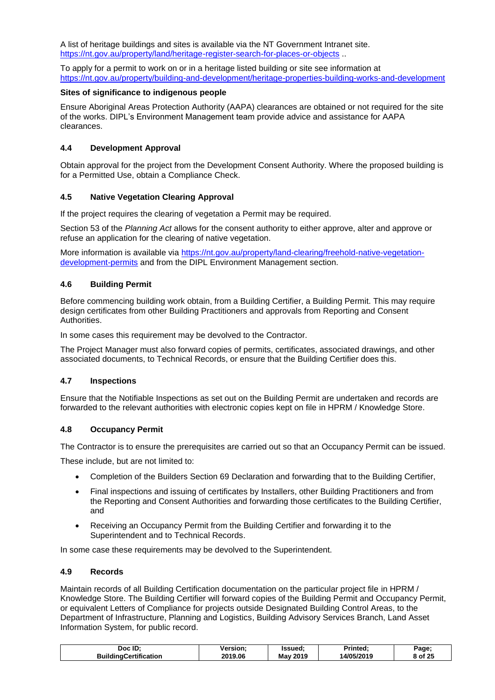A list of heritage buildings and sites is available via the NT Government Intranet site. <https://nt.gov.au/property/land/heritage-register-search-for-places-or-objects> ..

To apply for a permit to work on or in a heritage listed building or site see information at <https://nt.gov.au/property/building-and-development/heritage-properties-building-works-and-development>

#### **Sites of significance to indigenous people**

Ensure Aboriginal Areas Protection Authority (AAPA) clearances are obtained or not required for the site of the works. DIPL's Environment Management team provide advice and assistance for AAPA clearances.

#### **4.4 Development Approval**

Obtain approval for the project from the Development Consent Authority. Where the proposed building is for a Permitted Use, obtain a Compliance Check.

#### **4.5 Native Vegetation Clearing Approval**

If the project requires the clearing of vegetation a Permit may be required.

Section 53 of the *Planning Act* allows for the consent authority to either approve, alter and approve or refuse an application for the clearing of native vegetation.

More information is available via [https://nt.gov.au/property/land-clearing/freehold-native-vegetation](https://nt.gov.au/property/land-clearing/freehold-native-vegetation-development-permits)[development-permits](https://nt.gov.au/property/land-clearing/freehold-native-vegetation-development-permits) and from the DIPL Environment Management section.

#### **4.6 Building Permit**

Before commencing building work obtain, from a Building Certifier, a Building Permit. This may require design certificates from other Building Practitioners and approvals from Reporting and Consent Authorities.

In some cases this requirement may be devolved to the Contractor.

The Project Manager must also forward copies of permits, certificates, associated drawings, and other associated documents, to Technical Records, or ensure that the Building Certifier does this.

#### **4.7 Inspections**

Ensure that the Notifiable Inspections as set out on the Building Permit are undertaken and records are forwarded to the relevant authorities with electronic copies kept on file in HPRM / Knowledge Store.

#### **4.8 Occupancy Permit**

The Contractor is to ensure the prerequisites are carried out so that an Occupancy Permit can be issued.

These include, but are not limited to:

- Completion of the Builders Section 69 Declaration and forwarding that to the Building Certifier,
- Final inspections and issuing of certificates by Installers, other Building Practitioners and from the Reporting and Consent Authorities and forwarding those certificates to the Building Certifier, and
- Receiving an Occupancy Permit from the Building Certifier and forwarding it to the Superintendent and to Technical Records.

In some case these requirements may be devolved to the Superintendent.

#### **4.9 Records**

Maintain records of all Building Certification documentation on the particular project file in HPRM / Knowledge Store. The Building Certifier will forward copies of the Building Permit and Occupancy Permit, or equivalent Letters of Compliance for projects outside Designated Building Control Areas, to the Department of Infrastructure, Planning and Logistics, Building Advisory Services Branch, Land Asset Information System, for public record.

| Doc ID:<br>----                      | <b>Version</b><br>____ | issued <sup>.</sup> | Printed    | Page    |
|--------------------------------------|------------------------|---------------------|------------|---------|
| .<br>.<br>↑↑- <del>+</del> ification | 2019.06                | May<br>2019         | 14/05/2019 | o of ?" |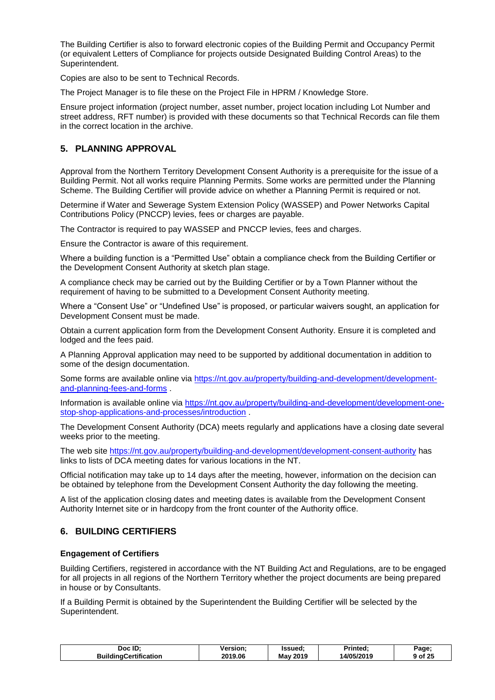The Building Certifier is also to forward electronic copies of the Building Permit and Occupancy Permit (or equivalent Letters of Compliance for projects outside Designated Building Control Areas) to the Superintendent.

Copies are also to be sent to Technical Records.

The Project Manager is to file these on the Project File in HPRM / Knowledge Store.

Ensure project information (project number, asset number, project location including Lot Number and street address, RFT number) is provided with these documents so that Technical Records can file them in the correct location in the archive.

#### <span id="page-8-0"></span>**5. PLANNING APPROVAL**

Approval from the Northern Territory Development Consent Authority is a prerequisite for the issue of a Building Permit. Not all works require Planning Permits. Some works are permitted under the Planning Scheme. The Building Certifier will provide advice on whether a Planning Permit is required or not.

Determine if Water and Sewerage System Extension Policy (WASSEP) and Power Networks Capital Contributions Policy (PNCCP) levies, fees or charges are payable.

The Contractor is required to pay WASSEP and PNCCP levies, fees and charges.

Ensure the Contractor is aware of this requirement.

Where a building function is a "Permitted Use" obtain a compliance check from the Building Certifier or the Development Consent Authority at sketch plan stage.

A compliance check may be carried out by the Building Certifier or by a Town Planner without the requirement of having to be submitted to a Development Consent Authority meeting.

Where a "Consent Use" or "Undefined Use" is proposed, or particular waivers sought, an application for Development Consent must be made.

Obtain a current application form from the Development Consent Authority. Ensure it is completed and lodged and the fees paid.

A Planning Approval application may need to be supported by additional documentation in addition to some of the design documentation.

Some forms are available online via [https://nt.gov.au/property/building-and-development/development](https://nt.gov.au/property/building-and-development/development-and-planning-fees-and-forms)[and-planning-fees-and-forms](https://nt.gov.au/property/building-and-development/development-and-planning-fees-and-forms) .

Information is available online via [https://nt.gov.au/property/building-and-development/development-one](https://nt.gov.au/property/building-and-development/development-one-stop-shop-applications-and-processes/introduction)[stop-shop-applications-and-processes/introduction](https://nt.gov.au/property/building-and-development/development-one-stop-shop-applications-and-processes/introduction) .

The Development Consent Authority (DCA) meets regularly and applications have a closing date several weeks prior to the meeting.

The web site<https://nt.gov.au/property/building-and-development/development-consent-authority> has links to lists of DCA meeting dates for various locations in the NT.

Official notification may take up to 14 days after the meeting, however, information on the decision can be obtained by telephone from the Development Consent Authority the day following the meeting.

A list of the application closing dates and meeting dates is available from the Development Consent Authority Internet site or in hardcopy from the front counter of the Authority office.

#### <span id="page-8-1"></span>**6. BUILDING CERTIFIERS**

#### **Engagement of Certifiers**

Building Certifiers, registered in accordance with the NT Building Act and Regulations, are to be engaged for all projects in all regions of the Northern Territory whether the project documents are being prepared in house or by Consultants.

If a Building Permit is obtained by the Superintendent the Building Certifier will be selected by the Superintendent.

| Doc ID:                      | <b>Version:</b> | <b>Issued:</b>  | Printed:   | Page; |
|------------------------------|-----------------|-----------------|------------|-------|
| <b>BuildingCertification</b> | 2019.06         | <b>May 2019</b> | 14/05/2019 | of 25 |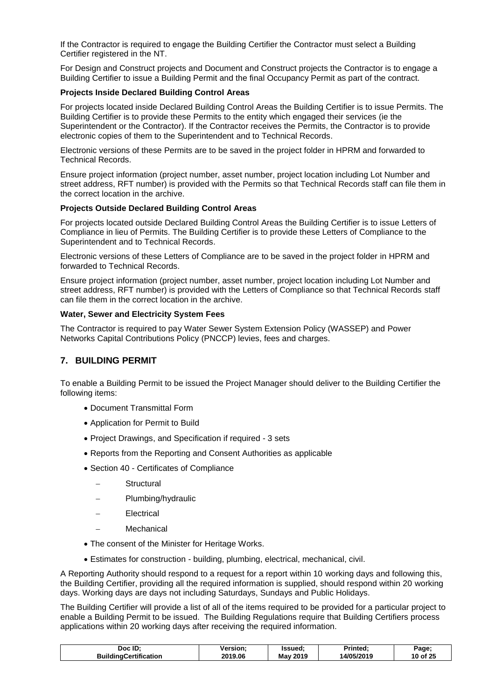If the Contractor is required to engage the Building Certifier the Contractor must select a Building Certifier registered in the NT.

For Design and Construct projects and Document and Construct projects the Contractor is to engage a Building Certifier to issue a Building Permit and the final Occupancy Permit as part of the contract.

#### **Projects Inside Declared Building Control Areas**

For projects located inside Declared Building Control Areas the Building Certifier is to issue Permits. The Building Certifier is to provide these Permits to the entity which engaged their services (ie the Superintendent or the Contractor). If the Contractor receives the Permits, the Contractor is to provide electronic copies of them to the Superintendent and to Technical Records.

Electronic versions of these Permits are to be saved in the project folder in HPRM and forwarded to Technical Records.

Ensure project information (project number, asset number, project location including Lot Number and street address, RFT number) is provided with the Permits so that Technical Records staff can file them in the correct location in the archive.

#### **Projects Outside Declared Building Control Areas**

For projects located outside Declared Building Control Areas the Building Certifier is to issue Letters of Compliance in lieu of Permits. The Building Certifier is to provide these Letters of Compliance to the Superintendent and to Technical Records.

Electronic versions of these Letters of Compliance are to be saved in the project folder in HPRM and forwarded to Technical Records.

Ensure project information (project number, asset number, project location including Lot Number and street address, RFT number) is provided with the Letters of Compliance so that Technical Records staff can file them in the correct location in the archive.

#### **Water, Sewer and Electricity System Fees**

The Contractor is required to pay Water Sewer System Extension Policy (WASSEP) and Power Networks Capital Contributions Policy (PNCCP) levies, fees and charges.

#### <span id="page-9-0"></span>**7. BUILDING PERMIT**

To enable a Building Permit to be issued the Project Manager should deliver to the Building Certifier the following items:

- Document Transmittal Form
- Application for Permit to Build
- Project Drawings, and Specification if required 3 sets
- Reports from the Reporting and Consent Authorities as applicable
- Section 40 Certificates of Compliance
	- **Structural**
	- Plumbing/hydraulic
	- **Electrical**
	- Mechanical
- The consent of the Minister for Heritage Works.
- Estimates for construction building, plumbing, electrical, mechanical, civil.

A Reporting Authority should respond to a request for a report within 10 working days and following this, the Building Certifier, providing all the required information is supplied, should respond within 20 working days. Working days are days not including Saturdays, Sundays and Public Holidays.

The Building Certifier will provide a list of all of the items required to be provided for a particular project to enable a Building Permit to be issued. The Building Regulations require that Building Certifiers process applications within 20 working days after receiving the required information.

| Doc ID:<br>----       | ersion:<br>- - - - - - - | <b>SSUP</b> | Printed.<br>. | Paɑe               |
|-----------------------|--------------------------|-------------|---------------|--------------------|
| $-1$<br>fication<br>ш | 2019.06                  | May<br>2019 | ו חו          | $J$ of $2^r$<br>10 |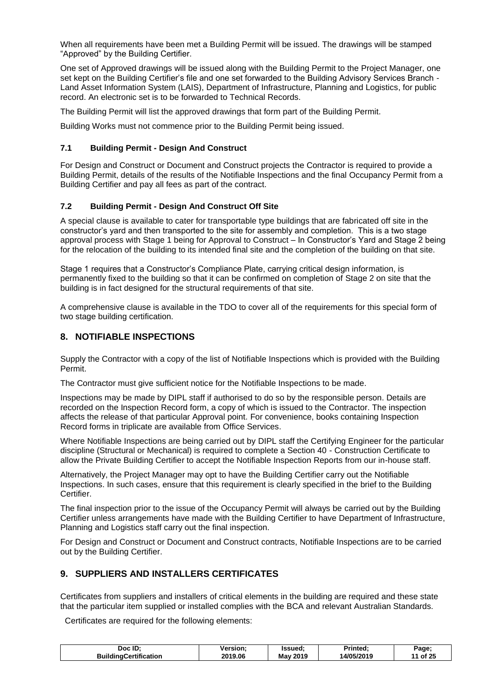When all requirements have been met a Building Permit will be issued. The drawings will be stamped "Approved" by the Building Certifier.

One set of Approved drawings will be issued along with the Building Permit to the Project Manager, one set kept on the Building Certifier's file and one set forwarded to the Building Advisory Services Branch - Land Asset Information System (LAIS), Department of Infrastructure, Planning and Logistics, for public record. An electronic set is to be forwarded to Technical Records.

The Building Permit will list the approved drawings that form part of the Building Permit.

Building Works must not commence prior to the Building Permit being issued.

#### **7.1 Building Permit - Design And Construct**

For Design and Construct or Document and Construct projects the Contractor is required to provide a Building Permit, details of the results of the Notifiable Inspections and the final Occupancy Permit from a Building Certifier and pay all fees as part of the contract.

#### **7.2 Building Permit - Design And Construct Off Site**

A special clause is available to cater for transportable type buildings that are fabricated off site in the constructor's yard and then transported to the site for assembly and completion. This is a two stage approval process with Stage 1 being for Approval to Construct – In Constructor's Yard and Stage 2 being for the relocation of the building to its intended final site and the completion of the building on that site.

Stage 1 requires that a Constructor's Compliance Plate, carrying critical design information, is permanently fixed to the building so that it can be confirmed on completion of Stage 2 on site that the building is in fact designed for the structural requirements of that site.

A comprehensive clause is available in the TDO to cover all of the requirements for this special form of two stage building certification.

#### <span id="page-10-0"></span>**8. NOTIFIABLE INSPECTIONS**

Supply the Contractor with a copy of the list of Notifiable Inspections which is provided with the Building Permit.

The Contractor must give sufficient notice for the Notifiable Inspections to be made.

Inspections may be made by DIPL staff if authorised to do so by the responsible person. Details are recorded on the Inspection Record form, a copy of which is issued to the Contractor. The inspection affects the release of that particular Approval point. For convenience, books containing Inspection Record forms in triplicate are available from Office Services.

Where Notifiable Inspections are being carried out by DIPL staff the Certifying Engineer for the particular discipline (Structural or Mechanical) is required to complete a Section 40 - Construction Certificate to allow the Private Building Certifier to accept the Notifiable Inspection Reports from our in-house staff.

Alternatively, the Project Manager may opt to have the Building Certifier carry out the Notifiable Inspections. In such cases, ensure that this requirement is clearly specified in the brief to the Building Certifier.

The final inspection prior to the issue of the Occupancy Permit will always be carried out by the Building Certifier unless arrangements have made with the Building Certifier to have Department of Infrastructure, Planning and Logistics staff carry out the final inspection.

For Design and Construct or Document and Construct contracts, Notifiable Inspections are to be carried out by the Building Certifier.

#### <span id="page-10-1"></span>**9. SUPPLIERS AND INSTALLERS CERTIFICATES**

Certificates from suppliers and installers of critical elements in the building are required and these state that the particular item supplied or installed complies with the BCA and relevant Australian Standards.

Certificates are required for the following elements:

| Doc ID:                      | <b>Version:</b> | lssued:         | Printed   | Page;       |
|------------------------------|-----------------|-----------------|-----------|-------------|
| <b>BuildingCertification</b> | 2019.06         | <b>May 2019</b> | 4/05/2019 | of 25<br>44 |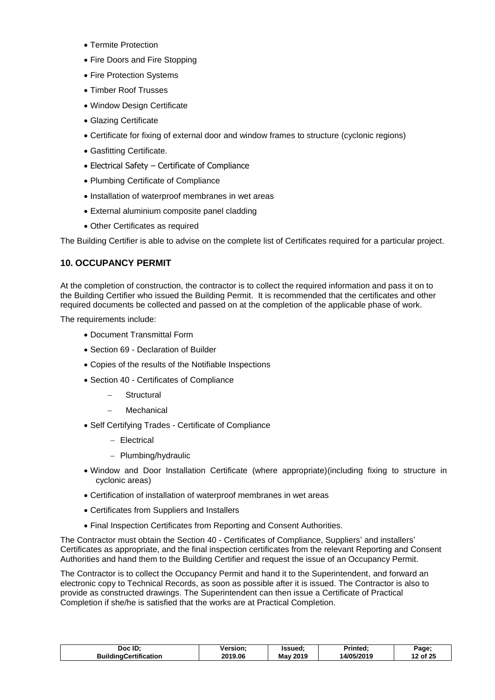- Termite Protection
- Fire Doors and Fire Stopping
- Fire Protection Systems
- Timber Roof Trusses
- Window Design Certificate
- Glazing Certificate
- Certificate for fixing of external door and window frames to structure (cyclonic regions)
- Gasfitting Certificate.
- Electrical Safety Certificate of Compliance
- Plumbing Certificate of Compliance
- Installation of waterproof membranes in wet areas
- External aluminium composite panel cladding
- Other Certificates as required

The Building Certifier is able to advise on the complete list of Certificates required for a particular project.

#### <span id="page-11-0"></span>**10. OCCUPANCY PERMIT**

At the completion of construction, the contractor is to collect the required information and pass it on to the Building Certifier who issued the Building Permit. It is recommended that the certificates and other required documents be collected and passed on at the completion of the applicable phase of work.

The requirements include:

- Document Transmittal Form
- Section 69 Declaration of Builder
- Copies of the results of the Notifiable Inspections
- Section 40 Certificates of Compliance
	- **Structural**
	- Mechanical
- Self Certifying Trades Certificate of Compliance
	- Electrical
	- Plumbing/hydraulic
- Window and Door Installation Certificate (where appropriate)(including fixing to structure in cyclonic areas)
- Certification of installation of waterproof membranes in wet areas
- Certificates from Suppliers and Installers
- Final Inspection Certificates from Reporting and Consent Authorities.

The Contractor must obtain the Section 40 - Certificates of Compliance, Suppliers' and installers' Certificates as appropriate, and the final inspection certificates from the relevant Reporting and Consent Authorities and hand them to the Building Certifier and request the issue of an Occupancy Permit.

The Contractor is to collect the Occupancy Permit and hand it to the Superintendent, and forward an electronic copy to Technical Records, as soon as possible after it is issued. The Contractor is also to provide as constructed drawings. The Superintendent can then issue a Certificate of Practical Completion if she/he is satisfied that the works are at Practical Completion.

| Doc ID:               | <b>Version</b> | lssued:     | Printed.   | Page,        |
|-----------------------|----------------|-------------|------------|--------------|
| media of artification | 2019.06        | May<br>2019 | 14/05/2019 | of 25<br>. . |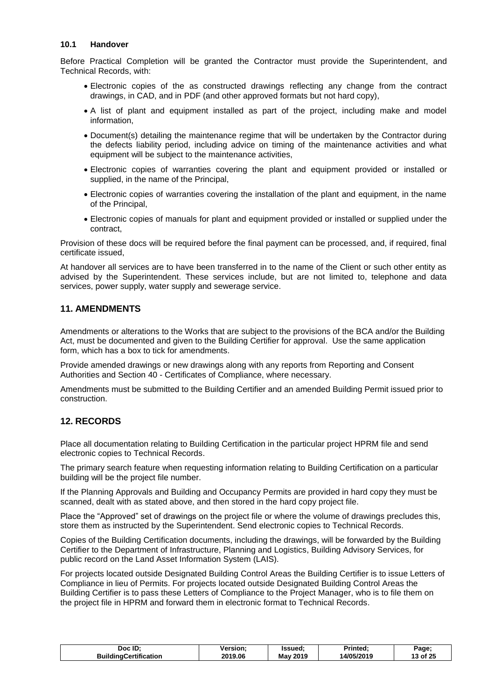#### **10.1 Handover**

Before Practical Completion will be granted the Contractor must provide the Superintendent, and Technical Records, with:

- Electronic copies of the as constructed drawings reflecting any change from the contract drawings, in CAD, and in PDF (and other approved formats but not hard copy),
- A list of plant and equipment installed as part of the project, including make and model information,
- Document(s) detailing the maintenance regime that will be undertaken by the Contractor during the defects liability period, including advice on timing of the maintenance activities and what equipment will be subject to the maintenance activities,
- Electronic copies of warranties covering the plant and equipment provided or installed or supplied, in the name of the Principal,
- Electronic copies of warranties covering the installation of the plant and equipment, in the name of the Principal,
- Electronic copies of manuals for plant and equipment provided or installed or supplied under the contract,

Provision of these docs will be required before the final payment can be processed, and, if required, final certificate issued,

At handover all services are to have been transferred in to the name of the Client or such other entity as advised by the Superintendent. These services include, but are not limited to, telephone and data services, power supply, water supply and sewerage service.

#### <span id="page-12-0"></span>**11. AMENDMENTS**

Amendments or alterations to the Works that are subject to the provisions of the BCA and/or the Building Act, must be documented and given to the Building Certifier for approval. Use the same application form, which has a box to tick for amendments.

Provide amended drawings or new drawings along with any reports from Reporting and Consent Authorities and Section 40 - Certificates of Compliance, where necessary.

Amendments must be submitted to the Building Certifier and an amended Building Permit issued prior to construction.

#### <span id="page-12-1"></span>**12. RECORDS**

Place all documentation relating to Building Certification in the particular project HPRM file and send electronic copies to Technical Records.

The primary search feature when requesting information relating to Building Certification on a particular building will be the project file number.

If the Planning Approvals and Building and Occupancy Permits are provided in hard copy they must be scanned, dealt with as stated above, and then stored in the hard copy project file.

Place the "Approved" set of drawings on the project file or where the volume of drawings precludes this, store them as instructed by the Superintendent. Send electronic copies to Technical Records.

Copies of the Building Certification documents, including the drawings, will be forwarded by the Building Certifier to the Department of Infrastructure, Planning and Logistics, Building Advisory Services, for public record on the Land Asset Information System (LAIS).

For projects located outside Designated Building Control Areas the Building Certifier is to issue Letters of Compliance in lieu of Permits. For projects located outside Designated Building Control Areas the Building Certifier is to pass these Letters of Compliance to the Project Manager, who is to file them on the project file in HPRM and forward them in electronic format to Technical Records.

| Doc ID∶                               | <b>Version:</b> | lssued:     | Printed:   | Page;   |
|---------------------------------------|-----------------|-------------|------------|---------|
| <b>Certification</b><br>.<br>Ruildina | 2019.06         | May<br>2019 | 14/05/2019 | . of 25 |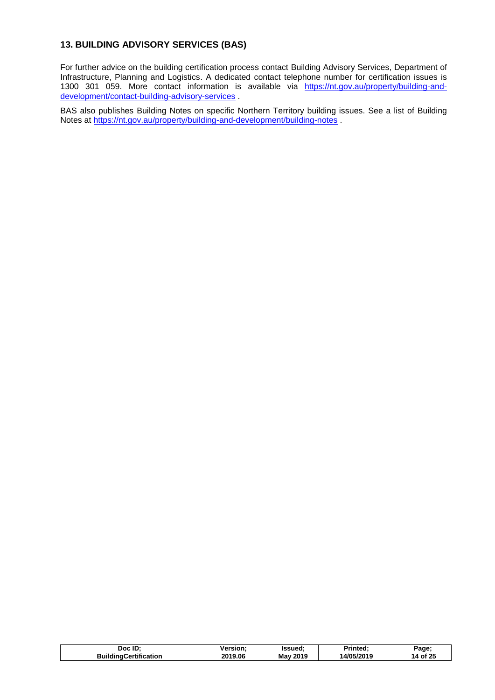#### <span id="page-13-0"></span>**13. BUILDING ADVISORY SERVICES (BAS)**

For further advice on the building certification process contact Building Advisory Services, Department of Infrastructure, Planning and Logistics. A dedicated contact telephone number for certification issues is 1300 301 059. More contact information is available via [https://nt.gov.au/property/building-and](https://nt.gov.au/property/building-and-development/contact-building-advisory-services)[development/contact-building-advisory-services](https://nt.gov.au/property/building-and-development/contact-building-advisory-services) .

BAS also publishes Building Notes on specific Northern Territory building issues. See a list of Building Notes at<https://nt.gov.au/property/building-and-development/building-notes> .

| Doc ID:                      | Version | Issued        | Printed:   | Page;    |
|------------------------------|---------|---------------|------------|----------|
| <b>BuildingCertification</b> | 2019.06 | Mav<br>v 2019 | 14/05/2019 | 14 of 25 |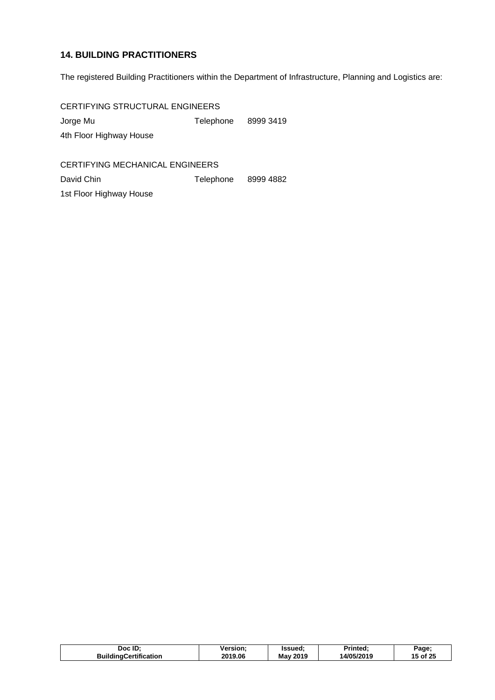#### <span id="page-14-0"></span>**14. BUILDING PRACTITIONERS**

The registered Building Practitioners within the Department of Infrastructure, Planning and Logistics are:

CERTIFYING STRUCTURAL ENGINEERS Jorge Mu Telephone 8999 3419 4th Floor Highway House CERTIFYING MECHANICAL ENGINEERS David Chin **David Chin** Telephone 8999 4882 1st Floor Highway House

| Doc ID: | <b>Version</b><br>____ | issued. | Drintod<br>.     | Page    |
|---------|------------------------|---------|------------------|---------|
|         | 2019.06                | May     | 5/2019           | of $2F$ |
| ication |                        | 2019    | 110 <sup>r</sup> | w       |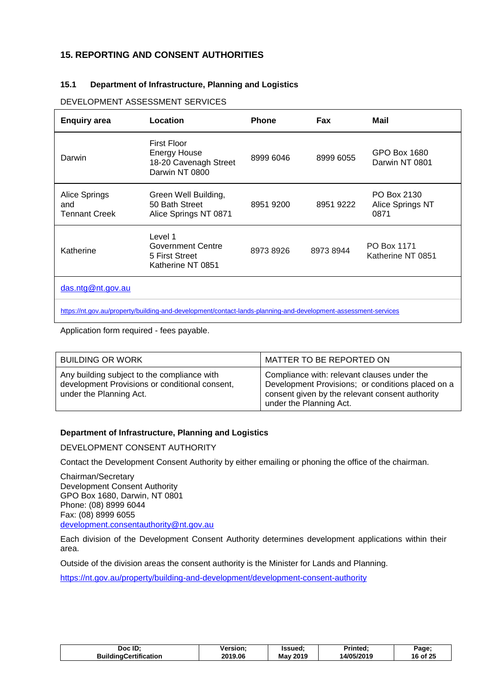#### <span id="page-15-0"></span>**15. REPORTING AND CONSENT AUTHORITIES**

#### **15.1 Department of Infrastructure, Planning and Logistics**

DEVELOPMENT ASSESSMENT SERVICES

| <b>Enquiry area</b>                          | Location                                                                                                       | <b>Phone</b> | <b>Fax</b> | Mail                                    |
|----------------------------------------------|----------------------------------------------------------------------------------------------------------------|--------------|------------|-----------------------------------------|
| Darwin                                       | First Floor<br><b>Energy House</b><br>18-20 Cavenagh Street<br>Darwin NT 0800                                  | 8999 6046    | 8999 6055  | GPO Box 1680<br>Darwin NT 0801          |
| Alice Springs<br>and<br><b>Tennant Creek</b> | Green Well Building,<br>50 Bath Street<br>Alice Springs NT 0871                                                | 8951 9200    | 8951 9222  | PO Box 2130<br>Alice Springs NT<br>0871 |
| Katherine                                    | Level 1<br>Government Centre<br>5 First Street<br>Katherine NT 0851                                            | 89738926     | 8973 8944  | PO Box 1171<br>Katherine NT 0851        |
| das.ntg@nt.gov.au                            |                                                                                                                |              |            |                                         |
|                                              | https://nt.gov.au/property/building-and-development/contact-lands-planning-and-development-assessment-services |              |            |                                         |

Application form required - fees payable.

| <b>BUILDING OR WORK</b>                                                                                                  | MATTER TO BE REPORTED ON                                                                                                                                                       |
|--------------------------------------------------------------------------------------------------------------------------|--------------------------------------------------------------------------------------------------------------------------------------------------------------------------------|
| Any building subject to the compliance with<br>development Provisions or conditional consent,<br>under the Planning Act. | Compliance with: relevant clauses under the<br>Development Provisions; or conditions placed on a<br>consent given by the relevant consent authority<br>under the Planning Act. |

#### **Department of Infrastructure, Planning and Logistics**

DEVELOPMENT CONSENT AUTHORITY

Contact the Development Consent Authority by either emailing or phoning the office of the chairman.

Chairman/Secretary Development Consent Authority GPO Box 1680, Darwin, NT 0801 Phone: (08) 8999 6044 Fax: (08) 8999 6055 [development.consentauthority@nt.gov.au](mailto:development.consentauthority@nt.gov.au)

Each division of the Development Consent Authority determines development applications within their area.

Outside of the division areas the consent authority is the Minister for Lands and Planning.

<https://nt.gov.au/property/building-and-development/development-consent-authority>

| $\overline{D}$ oc ID         | Version: | Issued:         | Printed.   | Page;    |
|------------------------------|----------|-----------------|------------|----------|
| <b>BuildingCertification</b> | 2019.06  | <b>May 2019</b> | 14/05/2019 | 16 of 25 |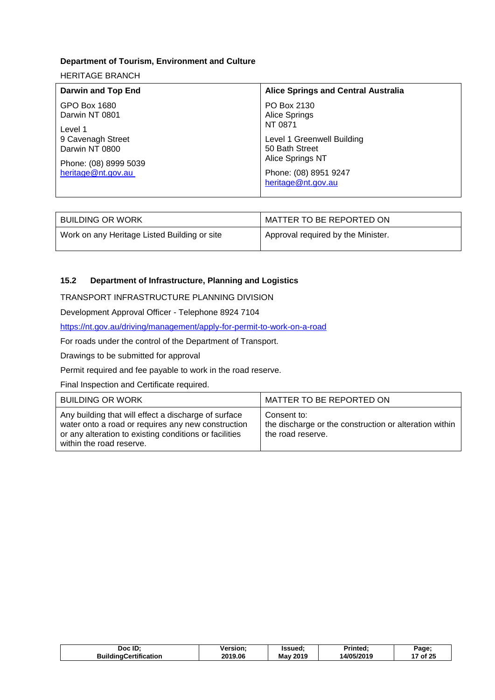#### **Department of Tourism, Environment and Culture**

HERITAGE BRANCH

| <b>Darwin and Top End</b>           | <b>Alice Springs and Central Australia</b>   |
|-------------------------------------|----------------------------------------------|
| GPO Box 1680<br>Darwin NT 0801      | PO Box 2130<br>Alice Springs                 |
| Level 1                             | NT 0871                                      |
| 9 Cavenagh Street<br>Darwin NT 0800 | Level 1 Greenwell Building<br>50 Bath Street |
| Phone: (08) 8999 5039               | Alice Springs NT                             |
| heritage@nt.gov.au                  | Phone: (08) 8951 9247<br>heritage@nt.gov.au  |

| <b>BUILDING OR WORK</b>                      | MATTER TO BE REPORTED ON           |
|----------------------------------------------|------------------------------------|
| Work on any Heritage Listed Building or site | Approval required by the Minister. |

#### **15.2 Department of Infrastructure, Planning and Logistics**

TRANSPORT INFRASTRUCTURE PLANNING DIVISION

Development Approval Officer - Telephone 8924 7104

<https://nt.gov.au/driving/management/apply-for-permit-to-work-on-a-road>

For roads under the control of the Department of Transport.

Drawings to be submitted for approval

Permit required and fee payable to work in the road reserve.

Final Inspection and Certificate required.

| <b>BUILDING OR WORK</b>                                                                                                                                                                          | MATTER TO BE REPORTED ON                                                                   |
|--------------------------------------------------------------------------------------------------------------------------------------------------------------------------------------------------|--------------------------------------------------------------------------------------------|
| Any building that will effect a discharge of surface<br>water onto a road or requires any new construction<br>or any alteration to existing conditions or facilities<br>within the road reserve. | Consent to:<br>the discharge or the construction or alteration within<br>the road reserve. |

| ID;<br>Doc<br>----     | version <sup>.</sup><br>____ | ssued       | arintod i | Page; |
|------------------------|------------------------------|-------------|-----------|-------|
| $-0.001$<br>tification | 2019.06                      | May<br>2019 | 4/05/2019 | of 25 |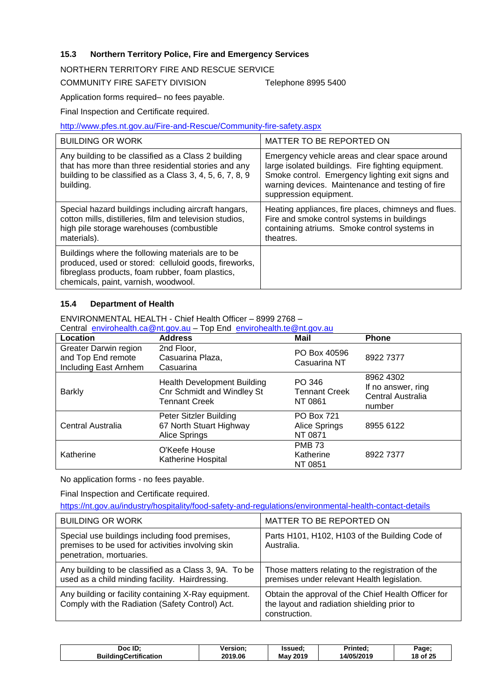#### **15.3 Northern Territory Police, Fire and Emergency Services**

NORTHERN TERRITORY FIRE AND RESCUE SERVICE

COMMUNITY FIRE SAFETY DIVISION Telephone 8995 5400

Application forms required– no fees payable.

Final Inspection and Certificate required.

<http://www.pfes.nt.gov.au/Fire-and-Rescue/Community-fire-safety.aspx>

| <b>BUILDING OR WORK</b>                                                                                                                                                                                | MATTER TO BE REPORTED ON                                                                                                                                                                                                               |
|--------------------------------------------------------------------------------------------------------------------------------------------------------------------------------------------------------|----------------------------------------------------------------------------------------------------------------------------------------------------------------------------------------------------------------------------------------|
| Any building to be classified as a Class 2 building<br>that has more than three residential stories and any<br>building to be classified as a Class 3, 4, 5, 6, 7, 8, 9<br>building.                   | Emergency vehicle areas and clear space around<br>large isolated buildings. Fire fighting equipment.<br>Smoke control. Emergency lighting exit signs and<br>warning devices. Maintenance and testing of fire<br>suppression equipment. |
| Special hazard buildings including aircraft hangars,<br>cotton mills, distilleries, film and television studios,<br>high pile storage warehouses (combustible<br>materials).                           | Heating appliances, fire places, chimneys and flues.<br>Fire and smoke control systems in buildings<br>containing atriums. Smoke control systems in<br>theatres.                                                                       |
| Buildings where the following materials are to be<br>produced, used or stored: celluloid goods, fireworks,<br>fibreglass products, foam rubber, foam plastics,<br>chemicals, paint, varnish, woodwool. |                                                                                                                                                                                                                                        |

#### **15.4 Department of Health**

ENVIRONMENTAL HEALTH - Chief Health Officer – 8999 2768 –

Central [envirohealth.ca@nt.gov.au](mailto:envirohealth.ca@nt.gov.au) – Top End [envirohealth.te@nt.gov.au](mailto:envirohealth.te@nt.gov.au)

| Location                                                                    | <b>Address</b>                                                                                  | Mail                                          | <b>Phone</b>                                                   |
|-----------------------------------------------------------------------------|-------------------------------------------------------------------------------------------------|-----------------------------------------------|----------------------------------------------------------------|
| <b>Greater Darwin region</b><br>and Top End remote<br>Including East Arnhem | 2nd Floor,<br>Casuarina Plaza,<br>Casuarina                                                     | PO Box 40596<br>Casuarina NT                  | 8922 7377                                                      |
| <b>Barkly</b>                                                               | <b>Health Development Building</b><br><b>Cnr Schmidt and Windley St</b><br><b>Tennant Creek</b> | PO 346<br><b>Tennant Creek</b><br>NT 0861     | 8962 4302<br>If no answer, ring<br>Central Australia<br>number |
| Central Australia                                                           | Peter Sitzler Building<br>67 North Stuart Highway<br>Alice Springs                              | <b>PO Box 721</b><br>Alice Springs<br>NT 0871 | 8955 6122                                                      |
| Katherine                                                                   | O'Keefe House<br>Katherine Hospital                                                             | <b>PMB 73</b><br>Katherine<br>NT 0851         | 8922 7377                                                      |

No application forms - no fees payable.

Final Inspection and Certificate required.

<https://nt.gov.au/industry/hospitality/food-safety-and-regulations/environmental-health-contact-details>

| <b>BUILDING OR WORK</b>                                                                                                         | MATTER TO BE REPORTED ON                                                                                            |
|---------------------------------------------------------------------------------------------------------------------------------|---------------------------------------------------------------------------------------------------------------------|
| Special use buildings including food premises,<br>premises to be used for activities involving skin<br>penetration, mortuaries. | Parts H101, H102, H103 of the Building Code of<br>Australia.                                                        |
| Any building to be classified as a Class 3, 9A. To be<br>used as a child minding facility. Hairdressing.                        | Those matters relating to the registration of the<br>premises under relevant Health legislation.                    |
| Any building or facility containing X-Ray equipment.<br>Comply with the Radiation (Safety Control) Act.                         | Obtain the approval of the Chief Health Officer for<br>the layout and radiation shielding prior to<br>construction. |

| Doc ID:                      | Version: | lssued:     | Printed:   | Page;       |
|------------------------------|----------|-------------|------------|-------------|
| <b>Certification</b><br>Buik | 2019.06  | Mav<br>2019 | 14/05/2019 | of 25<br>18 |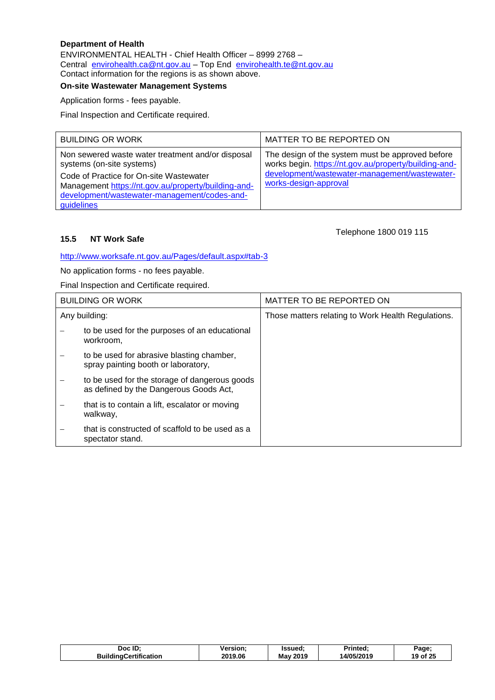#### **Department of Health**

ENVIRONMENTAL HEALTH - Chief Health Officer – 8999 2768 – Central [envirohealth.ca@nt.gov.au](mailto:envirohealth.ca@nt.gov.au) - Top End [envirohealth.te@nt.gov.au](mailto:envirohealth.te@nt.gov.au) Contact information for the regions is as shown above.

#### **On-site Wastewater Management Systems**

Application forms - fees payable.

Final Inspection and Certificate required.

| <b>BUILDING OR WORK</b>                                                                                                                                                                                                                        | MATTER TO BE REPORTED ON                                                                                                                                                            |
|------------------------------------------------------------------------------------------------------------------------------------------------------------------------------------------------------------------------------------------------|-------------------------------------------------------------------------------------------------------------------------------------------------------------------------------------|
| Non sewered waste water treatment and/or disposal<br>systems (on-site systems)<br>Code of Practice for On-site Wastewater<br>Management https://nt.gov.au/property/building-and-<br>development/wastewater-management/codes-and-<br>guidelines | The design of the system must be approved before<br>works begin. https://nt.gov.au/property/building-and-<br>development/wastewater-management/wastewater-<br>works-design-approval |

#### **15.5 NT Work Safe**

Telephone 1800 019 115

#### <http://www.worksafe.nt.gov.au/Pages/default.aspx#tab-3>

No application forms - no fees payable.

Final Inspection and Certificate required.

| <b>BUILDING OR WORK</b>                                                                 | MATTER TO BE REPORTED ON                           |
|-----------------------------------------------------------------------------------------|----------------------------------------------------|
| Any building:                                                                           | Those matters relating to Work Health Regulations. |
| to be used for the purposes of an educational<br>workroom,                              |                                                    |
| to be used for abrasive blasting chamber,<br>spray painting booth or laboratory,        |                                                    |
| to be used for the storage of dangerous goods<br>as defined by the Dangerous Goods Act, |                                                    |
| that is to contain a lift, escalator or moving<br>walkway,                              |                                                    |
| that is constructed of scaffold to be used as a<br>spectator stand.                     |                                                    |

| Doc ID                    | Version:<br>____ | lssued:      | Printed.   | Page                      |
|---------------------------|------------------|--------------|------------|---------------------------|
| .<br>tification<br>$\sim$ | 2019.06          | May<br>12019 | 14/05/2019 | ს of 2 <sup>r</sup><br>19 |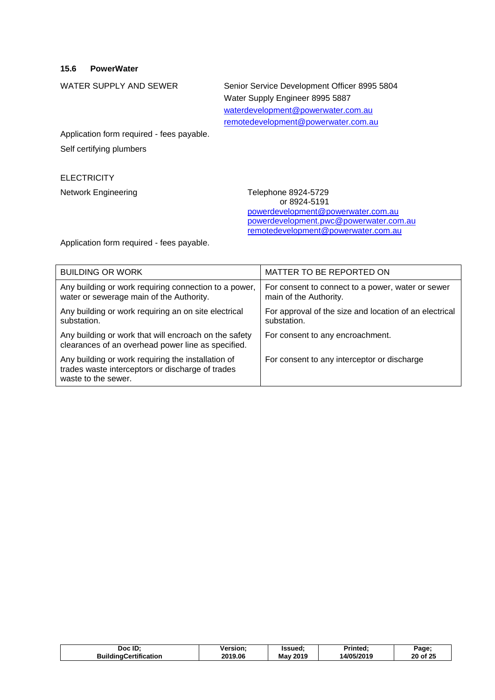#### **15.6 PowerWater**

WATER SUPPLY AND SEWER Senior Service Development Officer 8995 5804 Water Supply Engineer 8995 5887 [waterdevelopment@powerwater.com.au](mailto:waterdevelopment@powerwater.com.au) [remotedevelopment@powerwater.com.au](mailto:remotedevelopemt@powerwater.com.au)

Application form required - fees payable. Self certifying plumbers

#### **ELECTRICITY**

Network Engineering Telephone 8924-5729 or 8924-5191 [powerdevelopment@powerwater.com.au](mailto:powerdevelopment@powerwater.com.au) [powerdevelopment.pwc@powerwater.com.au](mailto:powerdevelopment.pwc@powerwater.com.au) [remotedevelopment@powerwater.com.au](mailto:remotedevelopment@powerwater.com.au)

Application form required - fees payable.

| <b>BUILDING OR WORK</b>                                                                                                       | MATTER TO BE REPORTED ON                                                    |
|-------------------------------------------------------------------------------------------------------------------------------|-----------------------------------------------------------------------------|
| Any building or work requiring connection to a power,<br>water or sewerage main of the Authority.                             | For consent to connect to a power, water or sewer<br>main of the Authority. |
| Any building or work requiring an on site electrical<br>substation.                                                           | For approval of the size and location of an electrical<br>substation.       |
| Any building or work that will encroach on the safety<br>clearances of an overhead power line as specified.                   | For consent to any encroachment.                                            |
| Any building or work requiring the installation of<br>trades waste interceptors or discharge of trades<br>waste to the sewer. | For consent to any interceptor or discharge                                 |

| Doc ID:                  | <b>Version</b><br>------- | ssued:     | <b>Printed</b> | י,Page       |
|--------------------------|---------------------------|------------|----------------|--------------|
| $-0.001$<br>.<br>ication | 2019.06                   | Ma<br>2019 | 72019          | of 25<br>nn. |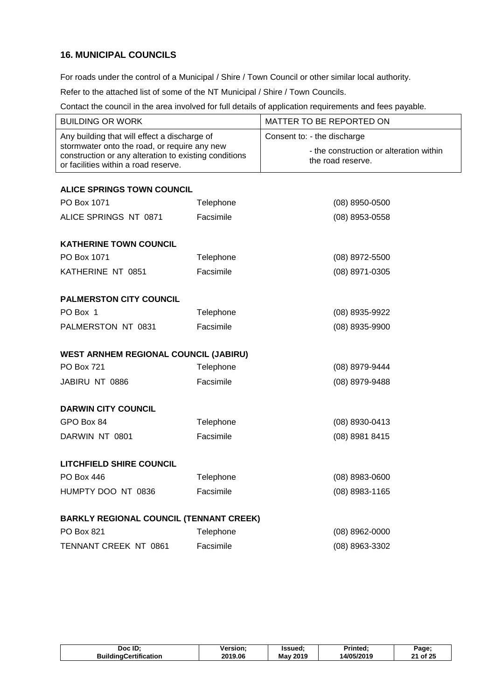#### <span id="page-20-0"></span>**16. MUNICIPAL COUNCILS**

For roads under the control of a Municipal / Shire / Town Council or other similar local authority.

Refer to the attached list of some of the NT Municipal / Shire / Town Councils.

Contact the council in the area involved for full details of application requirements and fees payable.

| <b>BUILDING OR WORK</b>                                                                                                                       |           | MATTER TO BE REPORTED ON                                     |  |  |
|-----------------------------------------------------------------------------------------------------------------------------------------------|-----------|--------------------------------------------------------------|--|--|
| Any building that will effect a discharge of                                                                                                  |           | Consent to: - the discharge                                  |  |  |
| stormwater onto the road, or require any new<br>construction or any alteration to existing conditions<br>or facilities within a road reserve. |           | - the construction or alteration within<br>the road reserve. |  |  |
|                                                                                                                                               |           |                                                              |  |  |
| <b>ALICE SPRINGS TOWN COUNCIL</b>                                                                                                             |           |                                                              |  |  |
| PO Box 1071                                                                                                                                   | Telephone | $(08)$ 8950-0500                                             |  |  |
| ALICE SPRINGS NT 0871                                                                                                                         | Facsimile | $(08)$ 8953-0558                                             |  |  |
| <b>KATHERINE TOWN COUNCIL</b>                                                                                                                 |           |                                                              |  |  |
| PO Box 1071                                                                                                                                   | Telephone | $(08)$ 8972-5500                                             |  |  |
| KATHERINE NT 0851                                                                                                                             | Facsimile | (08) 8971-0305                                               |  |  |
| <b>PALMERSTON CITY COUNCIL</b>                                                                                                                |           |                                                              |  |  |
| PO Box 1                                                                                                                                      | Telephone | $(08)$ 8935-9922                                             |  |  |
| PALMERSTON NT 0831                                                                                                                            | Facsimile | (08) 8935-9900                                               |  |  |
| <b>WEST ARNHEM REGIONAL COUNCIL (JABIRU)</b>                                                                                                  |           |                                                              |  |  |
| <b>PO Box 721</b>                                                                                                                             | Telephone | (08) 8979-9444                                               |  |  |
| JABIRU NT 0886                                                                                                                                | Facsimile | (08) 8979-9488                                               |  |  |
| <b>DARWIN CITY COUNCIL</b>                                                                                                                    |           |                                                              |  |  |
| GPO Box 84                                                                                                                                    | Telephone | (08) 8930-0413                                               |  |  |
| DARWIN NT 0801                                                                                                                                | Facsimile | (08) 8981 8415                                               |  |  |
| <b>LITCHFIELD SHIRE COUNCIL</b>                                                                                                               |           |                                                              |  |  |
| <b>PO Box 446</b>                                                                                                                             | Telephone | $(08)$ 8983-0600                                             |  |  |
| HUMPTY DOO NT 0836                                                                                                                            | Facsimile | (08) 8983-1165                                               |  |  |
| <b>BARKLY REGIONAL COUNCIL (TENNANT CREEK)</b>                                                                                                |           |                                                              |  |  |
| PO Box 821                                                                                                                                    | Telephone | $(08)$ 8962-0000                                             |  |  |
| TENNANT CREEK NT 0861                                                                                                                         | Facsimile | (08) 8963-3302                                               |  |  |

| $Doc$ ID $\cdot$          | <b>Version:</b> | Issued <sup>.</sup> | Printed:   | Page;                     |
|---------------------------|-----------------|---------------------|------------|---------------------------|
| Buil<br>ਾਂ∽r^ortification | 2019.06         | May<br>2019         | 14/05/2019 | . of 2 <sup>r</sup><br>ኅብ |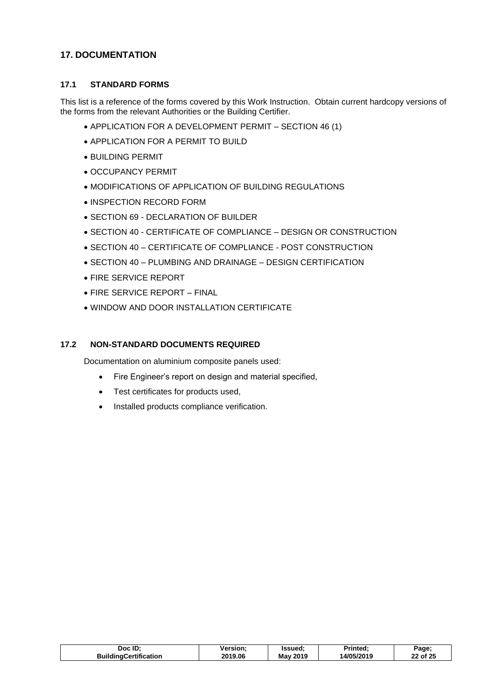#### <span id="page-21-0"></span>**17. DOCUMENTATION**

#### **17.1 STANDARD FORMS**

This list is a reference of the forms covered by this Work Instruction. Obtain current hardcopy versions of the forms from the relevant Authorities or the Building Certifier.

- APPLICATION FOR A DEVELOPMENT PERMIT SECTION 46 (1)
- APPLICATION FOR A PERMIT TO BUILD
- BUILDING PERMIT
- **OCCUPANCY PERMIT**
- MODIFICATIONS OF APPLICATION OF BUILDING REGULATIONS
- **INSPECTION RECORD FORM**
- **SECTION 69 DECLARATION OF BUILDER**
- **SECTION 40 CERTIFICATE OF COMPLIANCE DESIGN OR CONSTRUCTION**
- SECTION 40 CERTIFICATE OF COMPLIANCE POST CONSTRUCTION
- SECTION 40 PLUMBING AND DRAINAGE DESIGN CERTIFICATION
- FIRE SERVICE REPORT
- FIRE SERVICE REPORT FINAL
- WINDOW AND DOOR INSTALLATION CERTIFICATE

#### **17.2 NON-STANDARD DOCUMENTS REQUIRED**

Documentation on aluminium composite panels used:

- Fire Engineer's report on design and material specified,
- Test certificates for products used,
- Installed products compliance verification.

| $Doc$ ID:            | <b>Version</b><br>____ | Issued      | Printed:   | Page:    |
|----------------------|------------------------|-------------|------------|----------|
| <b>Certification</b> | 2019.06                | 2019<br>маv | 14/05/2010 | 22 of 25 |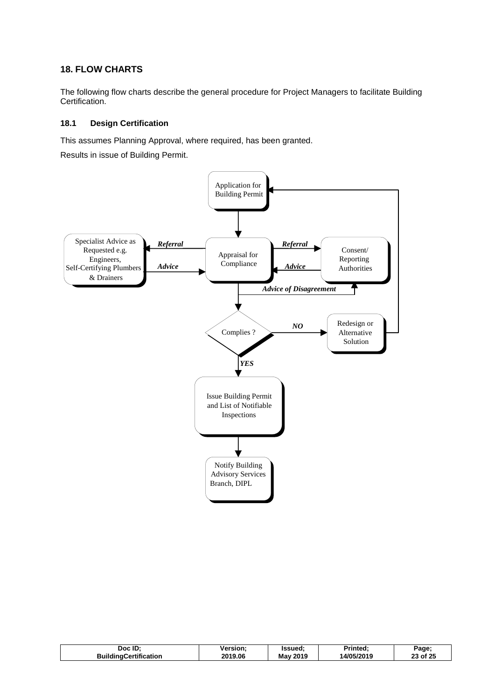#### <span id="page-22-0"></span>**18. FLOW CHARTS**

The following flow charts describe the general procedure for Project Managers to facilitate Building Certification.

#### **18.1 Design Certification**

This assumes Planning Approval, where required, has been granted.

Results in issue of Building Permit.



| Doc ID:                   | <b>Version:</b> | Issued       | Printed.   | Page:    |
|---------------------------|-----------------|--------------|------------|----------|
| Certification<br>Ruildina | 2019.06         | May<br>12019 | 14/05/2019 | 23 of 25 |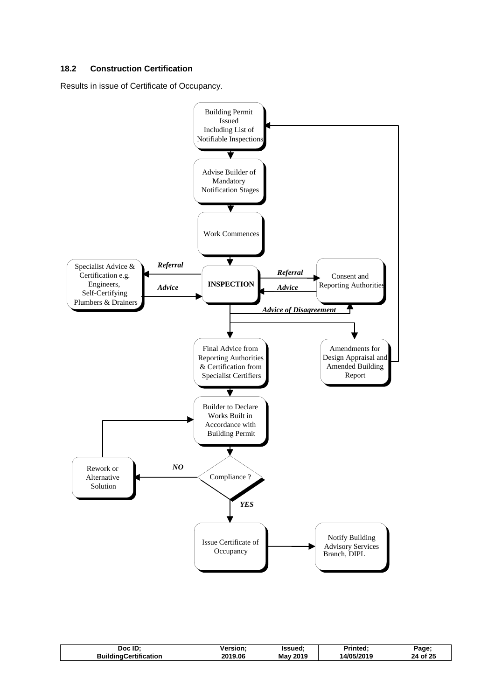#### **18.2 Construction Certification**

Results in issue of Certificate of Occupancy.



| Doc ID.                      | Version: | Issued:         | Printed    | Page;    |
|------------------------------|----------|-----------------|------------|----------|
| <b>BuildingCertification</b> | 2019.06  | <b>May 2019</b> | 14/05/2019 | 24 of 25 |